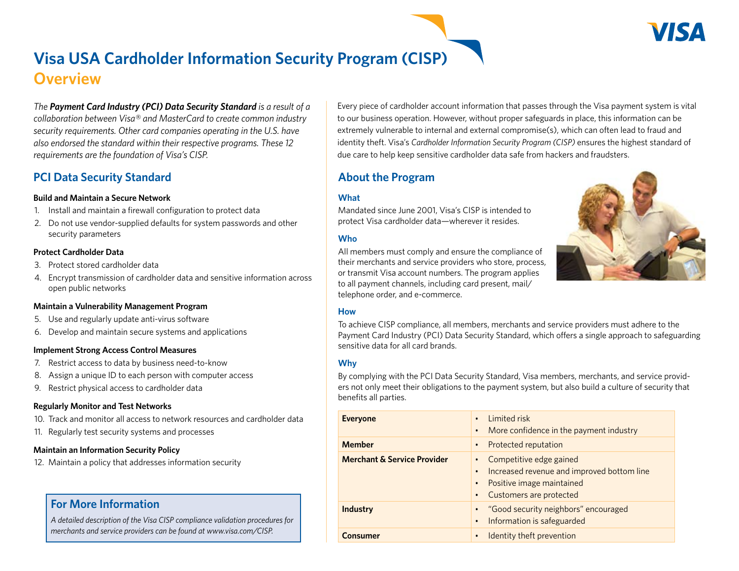# **Visa USA Cardholder Information Security Program (CISP) Overview**

*The Payment Card Industry (PCI) Data Security Standard is a result of a collaboration between Visa® and MasterCard to create common industry security requirements. Other card companies operating in the U.S. have also endorsed the standard within their respective programs. These 12 requirements are the foundation of Visa's CISP.*

# **PCI Data Security Standard**

### **Build and Maintain a Secure Network**

- 1. Install and maintain a firewall configuration to protect data
- 2. Do not use vendor-supplied defaults for system passwords and other security parameters

### **Protect Cardholder Data**

- 3. Protect stored cardholder data
- 4. Encrypt transmission of cardholder data and sensitive information across open public networks

#### **Maintain a Vulnerability Management Program**

- 5. Use and regularly update anti-virus software
- 6. Develop and maintain secure systems and applications

### **Implement Strong Access Control Measures**

- 7. Restrict access to data by business need-to-know
- 8. Assign a unique ID to each person with computer access
- 9. Restrict physical access to cardholder data

### **Regularly Monitor and Test Networks**

- 10. Track and monitor all access to network resources and cardholder data
- 11. Regularly test security systems and processes

### **Maintain an Information Security Policy**

12. Maintain a policy that addresses information security

# **For More Information**

*A detailed description of the Visa CISP compliance validation procedures for merchants and service providers can be found at www.visa.com/CISP.*

Every piece of cardholder account information that passes through the Visa payment system is vital to our business operation. However, without proper safeguards in place, this information can be extremely vulnerable to internal and external compromise(s), which can often lead to fraud and identity theft. Visa's *Cardholder Information Security Program (CISP)* ensures the highest standard of due care to help keep sensitive cardholder data safe from hackers and fraudsters.

# **About the Program**

## **What**

Mandated since June 2001, Visa's CISP is intended to protect Visa cardholder data—wherever it resides.

## **Who**

All members must comply and ensure the compliance of their merchants and service providers who store, process, or transmit Visa account numbers. The program applies to all payment channels, including card present, mail/ telephone order, and e-commerce.



### **How**

To achieve CISP compliance, all members, merchants and service providers must adhere to the Payment Card Industry (PCI) Data Security Standard, which offers a single approach to safeguarding sensitive data for all card brands.

## **Why**

By complying with the PCI Data Security Standard, Visa members, merchants, and service providers not only meet their obligations to the payment system, but also build a culture of security that benefits all parties.

| <b>Everyone</b>                        | Limited risk<br>$\bullet$<br>More confidence in the payment industry<br>$\bullet$                                               |
|----------------------------------------|---------------------------------------------------------------------------------------------------------------------------------|
| <b>Member</b>                          | Protected reputation<br>٠                                                                                                       |
| <b>Merchant &amp; Service Provider</b> | Competitive edge gained<br>Increased revenue and improved bottom line<br>• Positive image maintained<br>Customers are protected |
| <b>Industry</b>                        | "Good security neighbors" encouraged<br>Information is safeguarded<br>$\bullet$                                                 |
| Consumer                               | Identity theft prevention                                                                                                       |